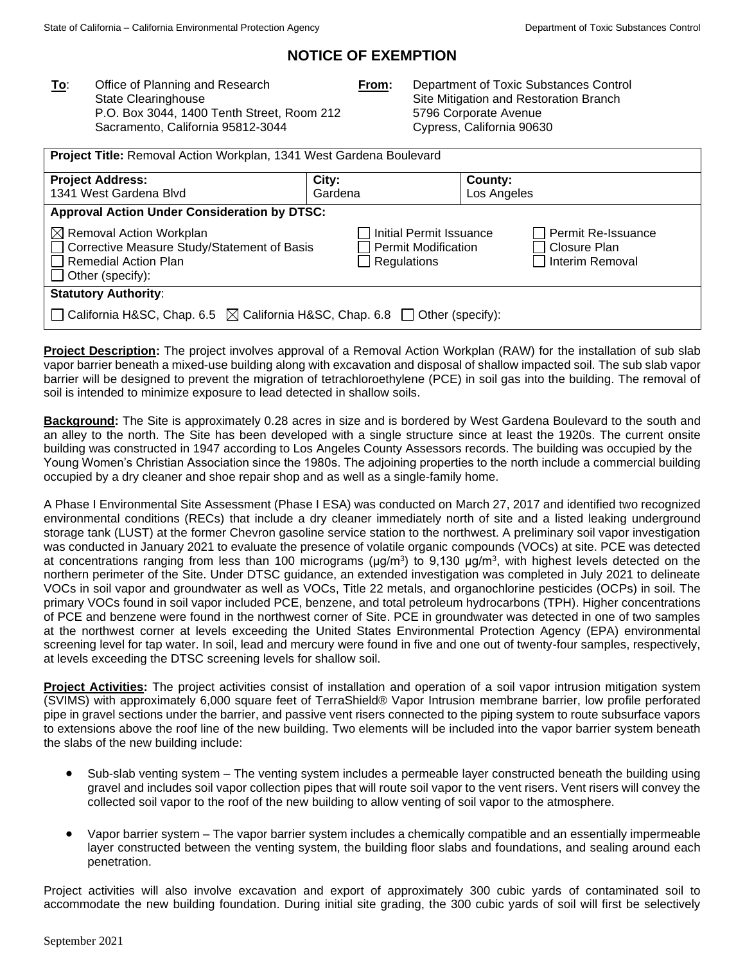# **NOTICE OF EXEMPTION**

**To**: Office of Planning and Research State Clearinghouse P.O. Box 3044, 1400 Tenth Street, Room 212 Sacramento, California 95812-3044

**From:** Department of Toxic Substances Control Site Mitigation and Restoration Branch 5796 Corporate Avenue Cypress, California 90630

| Project Title: Removal Action Workplan, 1341 West Gardena Boulevard                                                                     |                                                                      |                                                         |  |  |
|-----------------------------------------------------------------------------------------------------------------------------------------|----------------------------------------------------------------------|---------------------------------------------------------|--|--|
| <b>Project Address:</b><br>1341 West Gardena Blvd                                                                                       | City:<br>Gardena                                                     | County:<br>Los Angeles                                  |  |  |
| <b>Approval Action Under Consideration by DTSC:</b>                                                                                     |                                                                      |                                                         |  |  |
| $\boxtimes$ Removal Action Workplan<br>□ Corrective Measure Study/Statement of Basis<br>Remedial Action Plan<br>$\Box$ Other (specify): | Initial Permit Issuance<br><b>Permit Modification</b><br>Regulations | Permit Re-Issuance<br>  Closure Plan<br>Interim Removal |  |  |
| <b>Statutory Authority:</b>                                                                                                             |                                                                      |                                                         |  |  |
| California H&SC, Chap. 6.5 $\boxtimes$ California H&SC, Chap. 6.8 $\Box$ Other (specify):                                               |                                                                      |                                                         |  |  |

**Project Description:** The project involves approval of a Removal Action Workplan (RAW) for the installation of sub slab vapor barrier beneath a mixed-use building along with excavation and disposal of shallow impacted soil. The sub slab vapor barrier will be designed to prevent the migration of tetrachloroethylene (PCE) in soil gas into the building. The removal of soil is intended to minimize exposure to lead detected in shallow soils.

**Background:** The Site is approximately 0.28 acres in size and is bordered by West Gardena Boulevard to the south and an alley to the north. The Site has been developed with a single structure since at least the 1920s. The current onsite building was constructed in 1947 according to Los Angeles County Assessors records. The building was occupied by the Young Women's Christian Association since the 1980s. The adjoining properties to the north include a commercial building occupied by a dry cleaner and shoe repair shop and as well as a single-family home.

A Phase I Environmental Site Assessment (Phase I ESA) was conducted on March 27, 2017 and identified two recognized environmental conditions (RECs) that include a dry cleaner immediately north of site and a listed leaking underground storage tank (LUST) at the former Chevron gasoline service station to the northwest. A preliminary soil vapor investigation was conducted in January 2021 to evaluate the presence of volatile organic compounds (VOCs) at site. PCE was detected at concentrations ranging from less than 100 micrograms ( $\mu$ g/m<sup>3</sup>) to 9,130  $\mu$ g/m<sup>3</sup>, with highest levels detected on the northern perimeter of the Site. Under DTSC guidance, an extended investigation was completed in July 2021 to delineate VOCs in soil vapor and groundwater as well as VOCs, Title 22 metals, and organochlorine pesticides (OCPs) in soil. The primary VOCs found in soil vapor included PCE, benzene, and total petroleum hydrocarbons (TPH). Higher concentrations of PCE and benzene were found in the northwest corner of Site. PCE in groundwater was detected in one of two samples at the northwest corner at levels exceeding the United States Environmental Protection Agency (EPA) environmental screening level for tap water. In soil, lead and mercury were found in five and one out of twenty-four samples, respectively, at levels exceeding the DTSC screening levels for shallow soil.

**Project Activities:** The project activities consist of installation and operation of a soil vapor intrusion mitigation system (SVIMS) with approximately 6,000 square feet of TerraShield® Vapor Intrusion membrane barrier, low profile perforated pipe in gravel sections under the barrier, and passive vent risers connected to the piping system to route subsurface vapors to extensions above the roof line of the new building. Two elements will be included into the vapor barrier system beneath the slabs of the new building include:

- Sub-slab venting system The venting system includes a permeable layer constructed beneath the building using gravel and includes soil vapor collection pipes that will route soil vapor to the vent risers. Vent risers will convey the collected soil vapor to the roof of the new building to allow venting of soil vapor to the atmosphere.
- Vapor barrier system The vapor barrier system includes a chemically compatible and an essentially impermeable layer constructed between the venting system, the building floor slabs and foundations, and sealing around each penetration.

Project activities will also involve excavation and export of approximately 300 cubic yards of contaminated soil to accommodate the new building foundation. During initial site grading, the 300 cubic yards of soil will first be selectively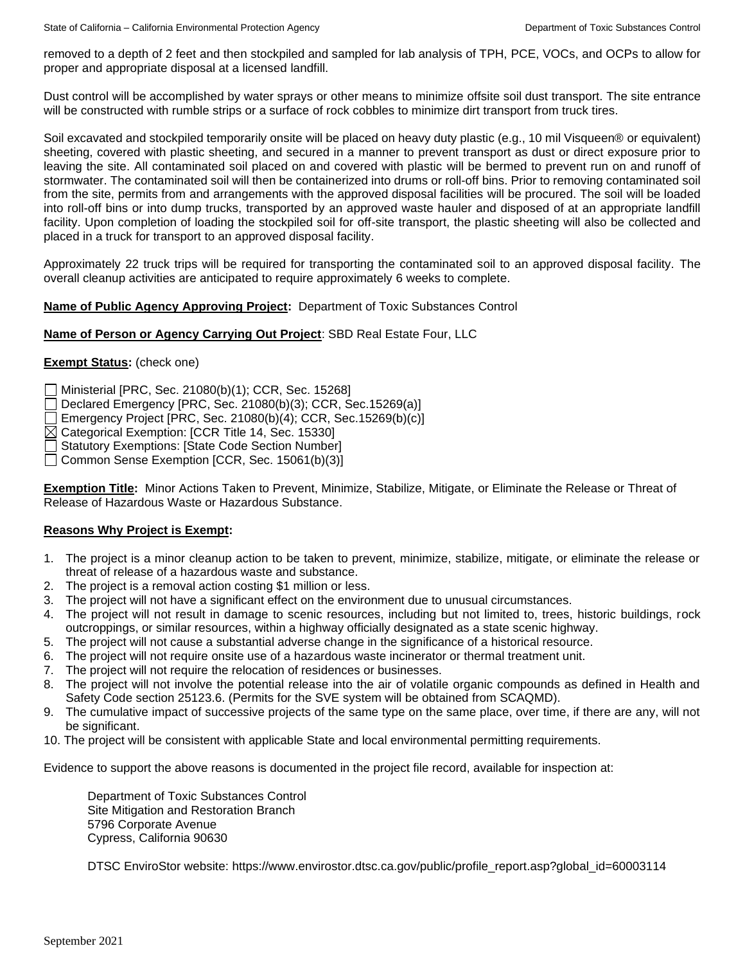removed to a depth of 2 feet and then stockpiled and sampled for lab analysis of TPH, PCE, VOCs, and OCPs to allow for proper and appropriate disposal at a licensed landfill.

Dust control will be accomplished by water sprays or other means to minimize offsite soil dust transport. The site entrance will be constructed with rumble strips or a surface of rock cobbles to minimize dirt transport from truck tires.

Soil excavated and stockpiled temporarily onsite will be placed on heavy duty plastic (e.g., 10 mil Visqueen® or equivalent) sheeting, covered with plastic sheeting, and secured in a manner to prevent transport as dust or direct exposure prior to leaving the site. All contaminated soil placed on and covered with plastic will be bermed to prevent run on and runoff of stormwater. The contaminated soil will then be containerized into drums or roll-off bins. Prior to removing contaminated soil from the site, permits from and arrangements with the approved disposal facilities will be procured. The soil will be loaded into roll-off bins or into dump trucks, transported by an approved waste hauler and disposed of at an appropriate landfill facility. Upon completion of loading the stockpiled soil for off-site transport, the plastic sheeting will also be collected and placed in a truck for transport to an approved disposal facility.

Approximately 22 truck trips will be required for transporting the contaminated soil to an approved disposal facility. The overall cleanup activities are anticipated to require approximately 6 weeks to complete.

## **Name of Public Agency Approving Project:** Department of Toxic Substances Control

## **Name of Person or Agency Carrying Out Project**: SBD Real Estate Four, LLC

## **Exempt Status:** (check one)

Ministerial [PRC, Sec. 21080(b)(1); CCR, Sec. 15268]

 $\Box$  Declared Emergency [PRC, Sec. 21080(b)(3); CCR, Sec. 15269(a)]

Emergency Project [PRC, Sec. 21080(b)(4); CCR, Sec.15269(b)(c)]

 $\boxtimes$  Categorical Exemption: [CCR Title 14, Sec. 15330]

Statutory Exemptions: [State Code Section Number]

Common Sense Exemption [CCR, Sec. 15061(b)(3)]

**Exemption Title:** Minor Actions Taken to Prevent, Minimize, Stabilize, Mitigate, or Eliminate the Release or Threat of Release of Hazardous Waste or Hazardous Substance.

## **Reasons Why Project is Exempt:**

- 1. The project is a minor cleanup action to be taken to prevent, minimize, stabilize, mitigate, or eliminate the release or threat of release of a hazardous waste and substance.
- 2. The project is a removal action costing \$1 million or less.
- 3. The project will not have a significant effect on the environment due to unusual circumstances.
- 4. The project will not result in damage to scenic resources, including but not limited to, trees, historic buildings, rock outcroppings, or similar resources, within a highway officially designated as a state scenic highway.
- 5. The project will not cause a substantial adverse change in the significance of a historical resource.
- 6. The project will not require onsite use of a hazardous waste incinerator or thermal treatment unit.
- 7. The project will not require the relocation of residences or businesses.
- 8. The project will not involve the potential release into the air of volatile organic compounds as defined in Health and Safety Code section 25123.6. (Permits for the SVE system will be obtained from SCAQMD).
- 9. The cumulative impact of successive projects of the same type on the same place, over time, if there are any, will not be significant.
- 10. The project will be consistent with applicable State and local environmental permitting requirements.

Evidence to support the above reasons is documented in the project file record, available for inspection at:

Department of Toxic Substances Control Site Mitigation and Restoration Branch 5796 Corporate Avenue Cypress, California 90630

DTSC EnviroStor website: https://www.envirostor.dtsc.ca.gov/public/profile\_report.asp?global\_id=60003114